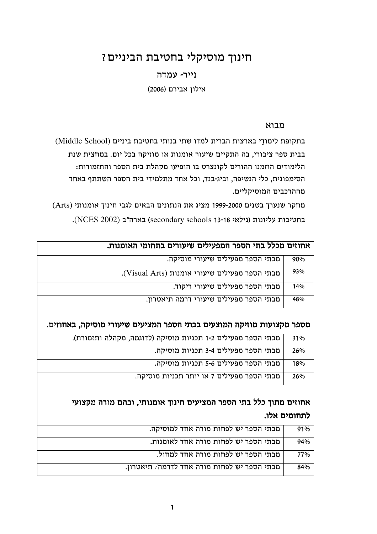# חינוך מוסיקלי בחטיבת הביניים?

### נייר- עמדה

אילון אבירם (2006)

### מבוא

בתקופת לימודי בארצות הברית למדו שתי בנותי בחטיבת ביניים (Middle School) בבית ספר ציבורי, בה התקיים שיעור אומנות או מוזיקה בכל יום. במחצית שנת הלימודים הוזמנו ההורים לקונצרט בו הופיעו מקהלת בית הספר והתזמורות: הסימפונית, כלי הנשיפה, וביג-בנד, וכל אחד מתלמידי בית הספר השתתף באחד מההרכבים המוסיקליים.

מחקר שנערך בשנים 1999-2000 מציג את הנתונים הבאים לגבי חינוך אומנותי (Arts) בחטיבות עליונות (גילאי 13-18 secondary schools) בארה"ב (NCES 2002).

| אחוזים מכלל בתי הספר המפעילים שיעורים בתחומי האומנות.                 |              |  |
|-----------------------------------------------------------------------|--------------|--|
| מבתי הספר מפעילים שיעורי מוסיקה.                                      | 90%          |  |
| מבתי הספר מפעילים שיעורי אומנות (Visual Arts).                        | 93%          |  |
| מבתי הספר מפעילים שיעורי ריקוד.                                       | 14%          |  |
| מבתי הספר מפעילים שיעורי דרמה תיאטרון.                                | 48%          |  |
|                                                                       |              |  |
| מספר מקצועות מוזיקה המוצעים בבתי הספר המציעים שיעורי מוסיקה, באחוזים. |              |  |
| מבתי הספר מפעילים 1-2 תכניות מוסיקה (לדוגמה, מקהלה ותזמורת).          | 31%          |  |
| מבתי הספר מפעילים 3-4 תכניות מוסיקה.                                  | 26%          |  |
| מבתי הספר מפעילים 5-6 תכניות מוסיקה.                                  | 18%          |  |
| מבתי הספר מפעילים 7 או יותר תכניות מוסיקה.                            | 26%          |  |
|                                                                       |              |  |
| אחוזים מתוך כלל בתי הספר המציעים חינוך אומנותי, ובהם מורה מקצועי      |              |  |
|                                                                       | לתחומים אלו. |  |
| מבתי הספר יש לפחות מורה אחד למוסיקה.                                  | 91%          |  |
| מבתי הספר יש לפחות מורה אחד לאומנות.                                  | 94%          |  |
| מבתי הספר יש לפחות מורה אחד למחול.                                    | 77%          |  |
| מבתי הספר יש לפחות מורה אחד לדרמה/ תיאטרון.                           | 84%          |  |
|                                                                       |              |  |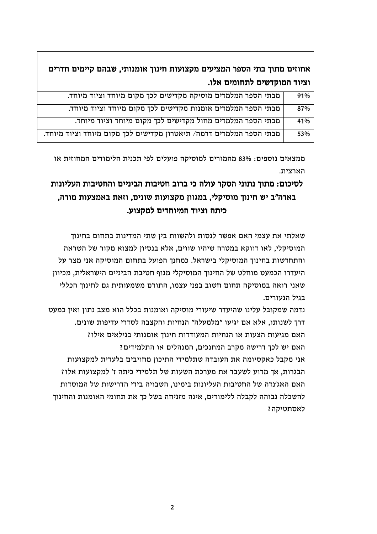אחוזים מתוך בתי הספר המציעים מקצועות חינוך אומנותי. שבהם קיימים חדרים וציוד המוקדשים לתחומים אלו.

| מבתי הספר המלמדים מוסיקה מקדישים לכך מקום מיוחד וציוד מיוחד.        | 91% |
|---------------------------------------------------------------------|-----|
| מבתי הספר המלמדים אומנות מקדישים לכך מקום מיוחד וציוד מיוחד.        | 87% |
| מבתי הספר המלמדים מחול מקדישים לכך מקום מיוחד וציוד מיוחד.          | 41% |
| מבתי הספר המלמדים דרמה/ תיאטרון מקדישים לכך מקום מיוחד וציוד מיוחד. | 53% |

ממצאים נוספים: 83% מהמורים למוסיקה פועלים לפי תכנית הלימודים המחוזית או הארצית.

## לסיכום: מתוד נתוני הסקר עולה כי ברוב חטיבות הביניים והחטיבות העליונות בארה"ב יש חינוך מוסיקלי, במגוון מקצועות שונים, וזאת באמצעות מורה, כיתה וציוד המיוחדים למקצוע.

שאלתי את עצמי האם אפשר לנסות ולהשוות בין שתי המדינות בתחום בחינוך המוסיקלי, לאו דווקא במטרה שיהיו שווים, אלא בנסיון למצוא מקור של השראה והתחדשות בחינוך המוסיקלי בישראל. כמחנך הפועל בתחום המוסיקה אני מצר על היעדרו הכמעט מוחלט של החינוך המוסיקלי מנוף חטיבת הביניים הישראלית, מכיוון שאני רואה במוסיקה תחום חשוב בפני עצמו, התורם משמעותית גם לחינוך הכללי בגיל הנטורים.

נדמה שמקובל עלינו שהיעדר שיעורי מוסיקה ואומנות בכלל הוא מצב נתון ואין כמעט דרך לשנותו, אלא אם יגיעו "מלמעלה" הנחיות והקצבה לסדרי עדיפות שונים. האם מגיעות הצעות או הנחיות המעודדות חינוך אומנותי בגילאים אילו? האם יש לכד דרישה מקרב המחנכים. המנהלים או התלמידים? אני מקבל כאקסיומה את העובדה שתלמידי התיכון מחויבים בלעדית למקצועות הבגרות, אך מדוע לשעבד את מערכת השעות של תלמידי כיתה ז' למקצועות אלו? האם האג'נדה של החטיבות העליונות בימינו, השבויה בידי הדרישות של המוסדות להשכלה גבוהה לקבלה ללימודים, אינה מזניחה בשל כך את תחומי האומנות והחינוך לאסתטיקה?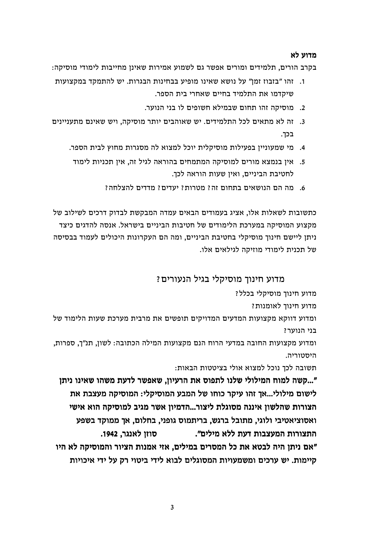#### מדוע לא

בקרב הורים, תלמידים ומורים אפשר גם לשמוע אמירות שאינן מחייבות לימודי מוסיקה:

- 1. זהו "בזבוז זמן" על נושא שאינו מופיע בבחינות הבגרות. יש להתמקד במקצועות שיקדמו את התלמיד בחיים שאחרי בית הספר.
	- 2. מוסיקה זהו תחום שבמילא חשופים לו בני הנוער.
- 3. זה לא מתאים לכל התלמידים. יש שאוהבים יותר מוסיקה, ויש שאינם מתעניינים בכך.
	- 4. מי שמעוניין בפעילות מוסיקלית יוכל למצוא לה מסגרות מחוץ לבית הספר.
	- 5. אין בנמצא מורים למוסיקה המתמחים בהוראה לגיל זה, אין תכניות לימוד לחטיבת הביניים, ואין שעות הוראה לכך.
		- 6. מה הם הנושאים בתחום זה? מטרות? יעדים? מדדים להצלחה?

כתשובות לשאלות אלו. אציג בעמודים הבאים עמדה המבקשת לבדוק דרכים לשילוב של מקצוע המוסיקה במערכת הלימודים של חטיבות הביניים בישראל. אנסה להדגים כיצד ניתן ליישם חינוך מוסיקלי בחטיבת הביניים, ומה הם העקרונות היכולים לעמוד בבסיסה של תכנית לימודי מוזיקה לגילאים אלו.

### מדוע חינוד מוסיקלי בגיל הנעורים ?

מדוע חינוך מוסיקלי בכלל?

מדוע חינוך לאומנות?

ומדוע דווקא מקצועות המדעים המדויקים תופשים את מרבית מערכת שעות הלימוד של בני הנוער?

ומדוע מקצועות החובה במדעי הרוח הנם מקצועות המילה הכתובה: לשון, תנ"ך, ספרות, היסטוריה.

תשובה לכך נוכל למצוא אולי בציטטות הבאות:

"...קשה למוח המילולי שלנו לתפוס את הרעיון, שאפשר לדעת משהו שאינו ניתן לישום מילולי...אך זהו עיקר כוחו של המבע המוסיקלי: המוסיקה מעצבת את הצורות שהלשון איננה מסוגלת ליצור...הדמיון אשר מגיב למוסיקה הוא אישי ואסוציאטיבי ולוגי. מתובל ברגש. בריתמוס גופני. בחלום. אך ממוקד בשפע סוזו לאנגר. 1942. התצורות המעצבות דעת ללא מילים". ״אם ניתן היה לבטא את כל המסרים במילים, אזי אמנות הציור והמוסיקה לא היו קיימות. יש ערכים ומשמעויות המסוגלים לבוא לידי ביטוי רק על ידי איכויות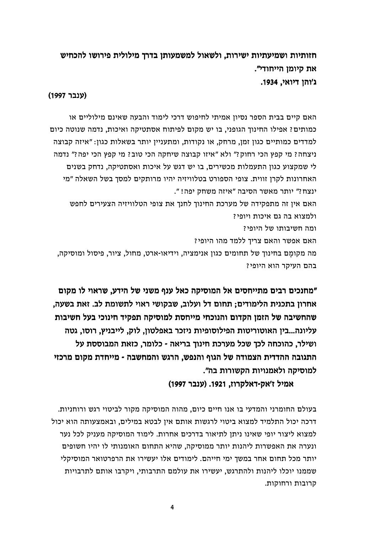חזותיות ושמיעתיות ישירות. ולשאול למשמעותו בדרד מילולית פירושו להכחיש את קיומו הייחודי". ג'והו דיואי. 1934.

#### (ענבר 1997)

האם קיים בבית הספר נסיון אמיתי לחיפוש דרכי לימוד והבעה שאינם מילוליים או כמותים? אפילו החינוך הגופני, בו יש מקום לפיתוח אסתטיקה ואיכות, נדמה שנוטה כיום למדדים כמותיים כגון זמן, מרחק, או נקודות, ומתעניין יותר בשאלות כגון: "איזה קבוצה ניצחה? מי קפץ הכי רחוק?" ולא "איזו קבוצה שיחקה הכי טוב? מי קפץ הכי יפה?" נדמה לי שמקצוע כגון התעמלות מכשירים, בו יש דגש על איכות ואסתטיקה, נדחק בשנים האחרונות לקרן זווית. צופי הספורט בטלוויזיה יהיו מרותקים למסך בשל השאלה "מי ינצח?" יותר מאשר הסיבה "איזה משחק יפה! ". האם אין זה מתפקידה של מערכת החינוך לחנך את צופי הטלוויזיה הצעירים לחפש

ולמצוא בה גם איכות ויופי? ומה חשיבותו של היופי? האם אפשר והאם צריך ללמד מהו היופי? מה מקומם בחינוך של תחומים כגון אנימציה, וידיאו-ארט, מחול, ציור, פיסול ומוסיקה,

בהם העיקר הוא היופי?

"מחנכים רבים מתייחסים אל המוסיקה כאל ענף משני של הידע, שראוי לו מקום אחרון בתכנית הלימודים: תחום דל ועלוב. שבקושי ראוי לתשומת לב. זאת בשעה. שהחשיבה של הזמן הקדום והנוכחי מייחסת למוסיקה תפקיד חינוכי בעל חשיבות עליונה...בין האוטוריטות הפילוסופיות ניזכר באפלטון, לוק, לייבניץ, רוסו, גטה ושילר, כהוכחה לכך שכל מערכת חינוך בריאה - כלומר, כזאת המבוססת על התגובה ההדדית הצמודה של הגוף והנפש. הרגש והמחשבה - מייחדת מקום מרכזי למוסיקה ולאמנויות הקשורות בה".

אמיל ז'אק-דאלקרוז, 1921. (ענבר 1997)

בעולם החומרני והמדעי בו אנו חיים כיום, מהוה המוסיקה מקור לביטוי רגש ורוחניות. דרכה יכול התלמיד למצוא ביטוי לרגשות אותם אין לבטא במילים, ובאמצעותה הוא יכול למצוא ליצור יופי שאינו ניתן לתיאור בדרכים אחרות. לימוד המוסיקה מעניק לכל נער ונערה את האפשרות ליהנות יותר ממוסיקה, שהיא התחום האומנותי לו יהיו חשופים יותר מכל תחום אחר במשך ימי חייהם. לימודים אלו יעשירו את הרפרטואר המוסיקלי שממנו יוכלו ליהנות ולהתרגש, יעשירו את עולמם התרבותי, ויקרבו אותם לתרבויות קרובות ורחוקות.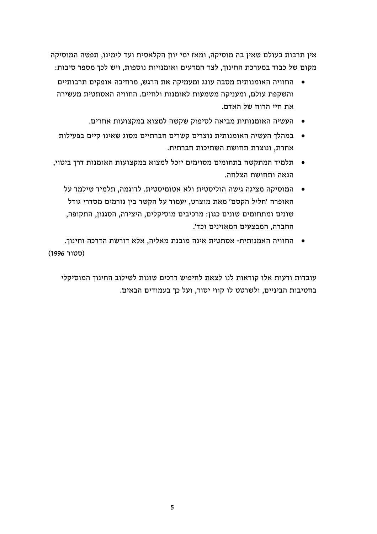אין תרבות בעולם שאין בה מוסיקה, ומאז ימי יוון הקלאסית ועד לימינו, תפשה המוסיקה מקום של כבוד במערכת החינוך, לצד המדעים ואומנויות נוספות, ויש לכך מספר סיבות:

- החוויה האומנותית מסבה עונג ומעמיקה את הרגש. מרחיבה אופקים תרבותיים  $\bullet$ והשקפת עולם. ומעניקה משמעות לאומנות ולחיים. החוויה האסתטית מעשירה את חיי הרוח של האדם.
	- העשיה האומנותית מביאה לסיפוק שקשה למצוא במקצועות אחרים.
- במהלד העשיה האומנותית נוצרים קשרים חברתיים מסוג שאינו קיים בפעילות  $\bullet$ אחרת. ונוצרת תחושת השתיכות חברתית.
- תלמיד המתקשה בתחומים מסוימים יוכל למצוא במקצועות האומנות דרך ביטוי, הנאה ותחושת הצלחה.
	- המוסיקה מציגה גישה הוליסטית ולא אטומיסטית. לדוגמה. תלמיד שילמד על האופרה ׳חליל הקסם׳ מאת מוצרט. יעמוד על הקשר ביו גורמים מסדרי גודל שונים ומתחומים שונים כגון: מרכיבים מוסיקלים, היצירה, הסגנון, התקופה. החברה. המבצעים המאזינים וכד׳.
- החוויה האמנותית- אסתטית אינה מובנת מאליה, אלא דורשת הדרכה וחינוך. (סטור 1996)

עובדות ודעות אלו קוראות לנו לצאת לחיפוש דרכים שונות לשילוב החינוך המוסיקלי בחטיבות הביניים, ולשרטט לו קווי יסוד, ועל כך בעמודים הבאים.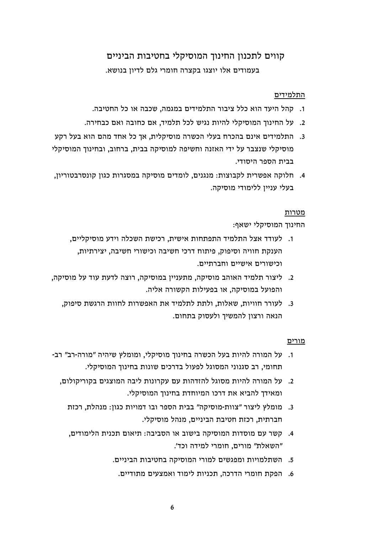## קווים לתכנון החינוך המוסיקלי בחטיבות הביניים בעמודים אלו יוצגו בקצרה חומרי גלם לדיון בנושא.

#### התלמידים

- 1. קהל היעד הוא כלל ציבור התלמידים במגמה. שכבה או כל החטיבה.
- 2. על החינוך המוסיקלי להיות נגיש לכל תלמיד, אם כחובה ואם כבחירה.
- 3. התלמידים אינם בהכרח בעלי הכשרה מוסיקלית, אך כל אחד מהם הוא בעל רקע מוסיקלי שנצבר על ידי האזנה וחשיפה למוסיקה בבית, ברחוב, ובחינוך המוסיקלי בבית הספר היסודי.
- 4. חלוקה אפשרית לקבוצות: מנגנים, לומדים מוסיקה במסגרות כגון קונסרבטוריון, בעלי עניין ללימודי מוסיקה.

#### מטרות

החינוך המוסיקלי ישאף:

- 1. לעודד אצל התלמיד התפתחות אישית, רכישת השכלה וידע מוסיקליים, הענקת חוויה וסיפוק, פיתוח דרכי חשיבה וכישורי חשיבה, יצירתיות, וכישורים אישיים וחברתיים.
- 2. ליצור תלמיד האוהב מוסיקה. מתענייו במוסיקה. רוצה לדעת עוד על מוסיקה. והפועל במוסיקה, או בפעילות הקשורה אליה.
	- 3. לעורר חוויות, שאלות, ולתת לתלמיד את האפשרות לחוות הרגשת סיפוק, הנאה ורצון להמשיך ולעסוק בתחום.

#### מורים

- 1. על המורה להיות בעל הכשרה בחינוך מוסיקלי, ומומלץ שיהיה "מורה-רב" רב-תחומי, רב סגנוני המסוגל לפעול בדרכים שונות בחינוך המוסיקלי.
	- 2. על המורה להיות מסוגל להזדהות עם עקרונות ליבה המוצגים בקוריקולום. ומאידך להביא את דרכו המיוחדת בחינוך המוסיקלי.
		- 3. מומלץ ליצור "צוות-מוסיקה" בבית הספר ובו דמויות כגון: מנהלת, רכזת חברתית, רכזת חטיבת הביניים, מנהל מוסיקלי.
		- 4. קשר עם מוסדות המוסיקה בישוב או הסביבה: תיאום תכנית הלימודים, "השאלת" מורים, חומרי למידה וכד'.
			- 5. השתלמויות ומפגשים למורי המוסיקה בחטיבות הביניים.
				- 6. הפקת חומרי הדרכה, תכניות לימוד ואמצעים מתודיים.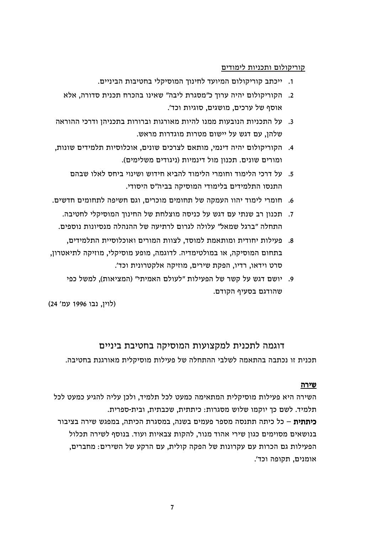#### קוריקולום ותכניות לימודים

- 1. ייכתב קוריקולום המיועד לחינוך המוסיקלי בחטיבות הביניים.
- 2. הקוריקולום יהיה ערוך כ"מסגרת ליבה" שאינו בהכרח תכנית סדורה, אלא אוסף של ערכים, מושגים, סוגיות וכד'.
- 3. על התכניות הנובעות ממנו להיות מאורגות וברורות בתכניהן ודרכי ההוראה שלהן, עם דגש על יישום מטרות מוגדרות מראש.
- 4. הקוריקולום יהיה דינמי, מותאם לצרכים שונים, אוכלוסיות תלמידים שונות, ומורים שונים. תכנון מול דינמיות (ניגודים משלימים).
	- 5. על דרכי הלימוד וחומרי הלימוד להביא חידוש ושינוי ביחס לאלו שבהם התנסו התלמידים בלימודי המוסיקה בביה"ס היסודי.
- 6. חומרי לימוד יהוו העמקה של תחומים מוכרים, וגם חשיפה לתחומים חדשים.
- 7. תכנון רב שנתי עם דגש על כניסה מוצלחת של החינוך המוסיקלי לחטיבה. התחלה "ברגל שמאל" עלולה לגרום לרתיעה של ההנהלה מנסיונות נוספים.
- 8. פעילות יחודית ומותאמת למוסד. לצוות המורים ואוכלוסיית התלמידים. בתחום המוסיקה, או במולטימדיה. לדוגמה, מופע מוסיקלי, מוזיקה לתיאטרון, סרט וידאו, רדיו, הפקת שירים, מוזיקה אלקטרונית וכד׳.
	- 9. יושם דגש על קשר של הפעילות "לעולם האמיתי" (המציאות), למשל כפי שהודגם בסעיף הקודם.

(לוין, נבו 1996 עמ' 24)

#### דוגמה לתכנית למקצועות המוסיקה בחטיבת ביניים

תכנית זו נכתבה בהתאמה לשלבי ההתחלה של פעילות מוסיקלית מאורגנת בחטיבה.

#### שירה

השירה היא פעילות מוסיקלית המתאימה כמעט לכל תלמיד, ולכן עליה להגיע כמעט לכל תלמיד. לשם כד יוקמו שלוש מסגרות: כיתתית. שכבתית. ובית-ספרית. <mark>כיתתית</mark> – כל כיתה תתנסה מספר פעמים בשנה. במסגרת הכיתה. במפגש שירה בציבור בנושאים מסוימים כגון שירי אהוד מנור, להקות צבאיות ועוד. בנוסף לשירה תכלול הפעילות גם הכרות עם עקרונות של הפקה קולית, עם הרקע של השירים: מחברים, אומנים. תקופה וכד׳.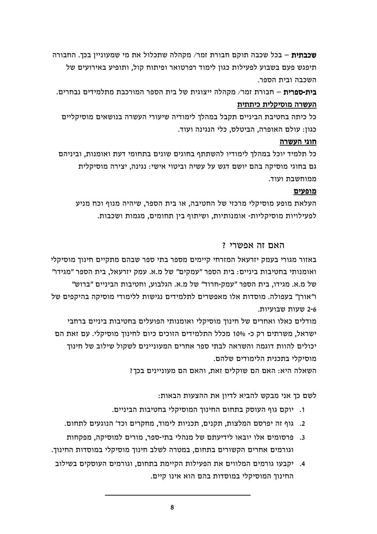**שכבתית** – בכל שכבה תוקם חבורת זמר/ מקהלה שתכלול את מי שמעוניין בכך. החבורה תיפגש פעם בשבוע לפעילות כגון לימוד רפרטואר ופיתוח קול, ותופיע באירועים של השכבה ובית הספר.

**בית-ספרית** – חבורת זמר/ מקהלה ייצוגית של בית הספר המורכבת מתלמידים נבחרים. העשרה מוסיקלית כיתתית

כל כיתה בחטיבת הביניים תקבל במהלך לימודיה שיעורי העשרה בנושאים מוסיקליים כגון: עולם האופרה, הביטלס, כלי הנגינה ועוד.

#### חוגי העשרה

כל תלמיד יוכל במהלך לימודיו להשתתף בחוגים שונים בתחומי דעת ואומנות, וביניהם גם בחוגי מוסיקה בהם יושם דגש על עשיה וביטוי אישי: נגינה, יצירה מוסיקלית ממוחשבת ועוד.

#### מופעים

העלאת מופע מוסיקלי מרכזי של החטיבה, או בית הספר, שיהיה מנוף וכח מניע לפעילויות מוסיקליות- אומנותיות, ושיתוף בין תחומים, מגמות ושכבות.

#### האם זה אפשרי ?

באזור מגורי בעמק יזרעאל המזרחי קיימים מספר בתי ספר שבהם מתקיים חינוך מוסיקלי ואומנותי בחטיבות ביניים: בית הספר "עמקים" של מ.א. עמק יזרעאל, בית הספר "מגידו" של מ.א. מגידו, בית הספר "עמק-חרוד" של מ.א. הגלבוע, וחטיבות הביניים "ברוש" ו"אורן" בעפולה. מוסדות אלו מאפשרים לתלמידים נגישות ללימודי מוסיקה בהיקפים של 2-6 שעות שבועיות.

מודלים כאלו ואחרים של חינוך מוסיקלי ואומנותי הפועלים בחטיבות ביניים ברחבי ישראל. משרתים רק כ- 10% מכלל התלמידים הזוכים כיום לחינוד מוסיקלי. עם זאת הם יכולים להוות דוגמה והשראה לבתי ספר אחרים המעוניינים לשקול שילוב של חינוך מוסיקלי בתכנית הלימודים שלהם.

השאלה היא: האם הם שוקלים זאת, והאם הם מעוניינים בכך?

לשם כך אני מבקש להביא לדיון את ההצעות הבאות:

- 1. יוקם גוף העוסק בתחום החינוד המוסיקלי בחטיבות הביניים.
- 2. גוף זה יפרסם המלצות, תקנים, תכניות לימוד, מחקרים וכד' הנוגעים לתחום.
- 3. פרסומים אלו יובאו לידיעתם של מנהלי בתי-ספר, מורים למוסיקה, מפקחות וגורמים אחרים הקשורים בתחום, במטרה לשלב חינוך מוסיקלי במוסדות החינוך.
- 4. יקבעו גורמים המלווים את הפעילות הקיימת בתחום, וגורמים העוסקים בשילוב החינוך המוסיקלי במוסדות בהם הוא אינו קיים.